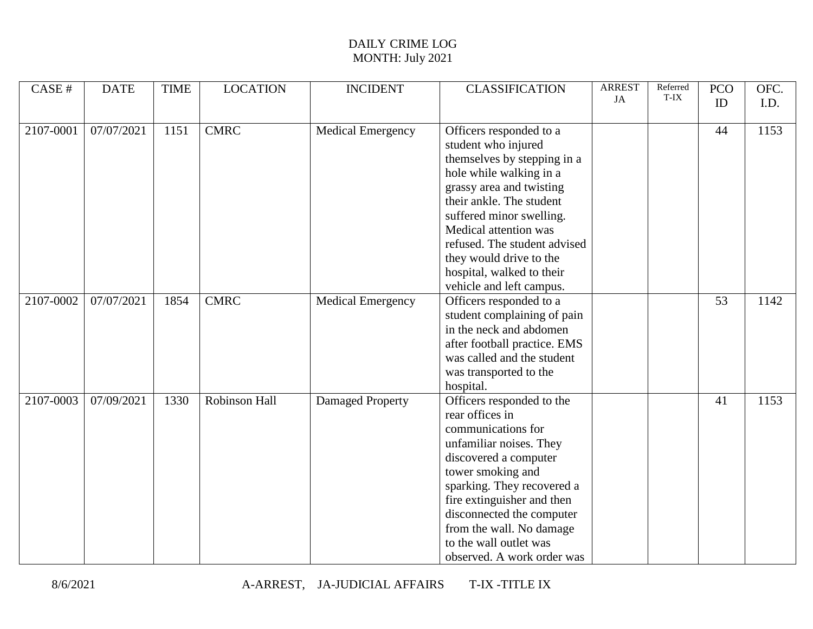## DAILY CRIME LOG MONTH: July 2021

| CASE #    | <b>DATE</b> | <b>TIME</b> | <b>LOCATION</b> | <b>INCIDENT</b>          | <b>CLASSIFICATION</b>                                                                                                                                                                                                                                                                                                                     | <b>ARREST</b><br>JA | Referred<br>T-IX | <b>PCO</b>      | OFC. |
|-----------|-------------|-------------|-----------------|--------------------------|-------------------------------------------------------------------------------------------------------------------------------------------------------------------------------------------------------------------------------------------------------------------------------------------------------------------------------------------|---------------------|------------------|-----------------|------|
|           |             |             |                 |                          |                                                                                                                                                                                                                                                                                                                                           |                     |                  | ID              | I.D. |
| 2107-0001 | 07/07/2021  | 1151        | <b>CMRC</b>     | <b>Medical Emergency</b> | Officers responded to a<br>student who injured<br>themselves by stepping in a<br>hole while walking in a<br>grassy area and twisting<br>their ankle. The student<br>suffered minor swelling.<br>Medical attention was<br>refused. The student advised<br>they would drive to the<br>hospital, walked to their<br>vehicle and left campus. |                     |                  | 44              | 1153 |
| 2107-0002 | 07/07/2021  | 1854        | <b>CMRC</b>     | <b>Medical Emergency</b> | Officers responded to a<br>student complaining of pain<br>in the neck and abdomen<br>after football practice. EMS<br>was called and the student<br>was transported to the<br>hospital.                                                                                                                                                    |                     |                  | $\overline{53}$ | 1142 |
| 2107-0003 | 07/09/2021  | 1330        | Robinson Hall   | Damaged Property         | Officers responded to the<br>rear offices in<br>communications for<br>unfamiliar noises. They<br>discovered a computer<br>tower smoking and<br>sparking. They recovered a<br>fire extinguisher and then<br>disconnected the computer<br>from the wall. No damage<br>to the wall outlet was<br>observed. A work order was                  |                     |                  | 41              | 1153 |

8/6/2021 A-ARREST, JA-JUDICIAL AFFAIRS T-IX -TITLE IX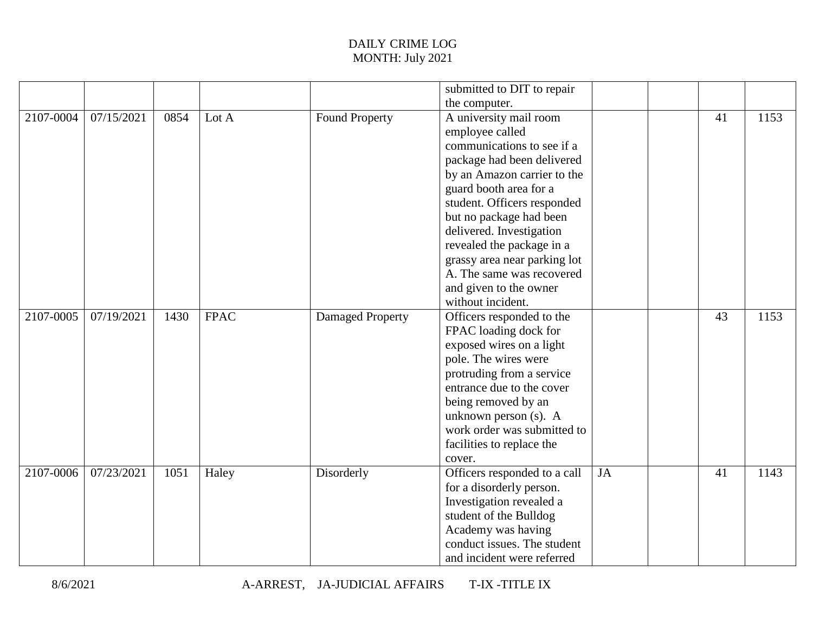## DAILY CRIME LOG MONTH: July 2021

|           |            |      |             |                       | submitted to DIT to repair   |    |    |      |
|-----------|------------|------|-------------|-----------------------|------------------------------|----|----|------|
|           |            |      |             |                       | the computer.                |    |    |      |
| 2107-0004 | 07/15/2021 | 0854 | Lot A       | <b>Found Property</b> | A university mail room       |    | 41 | 1153 |
|           |            |      |             |                       | employee called              |    |    |      |
|           |            |      |             |                       | communications to see if a   |    |    |      |
|           |            |      |             |                       | package had been delivered   |    |    |      |
|           |            |      |             |                       | by an Amazon carrier to the  |    |    |      |
|           |            |      |             |                       | guard booth area for a       |    |    |      |
|           |            |      |             |                       | student. Officers responded  |    |    |      |
|           |            |      |             |                       | but no package had been      |    |    |      |
|           |            |      |             |                       | delivered. Investigation     |    |    |      |
|           |            |      |             |                       | revealed the package in a    |    |    |      |
|           |            |      |             |                       | grassy area near parking lot |    |    |      |
|           |            |      |             |                       | A. The same was recovered    |    |    |      |
|           |            |      |             |                       | and given to the owner       |    |    |      |
|           |            |      |             |                       | without incident.            |    |    |      |
| 2107-0005 | 07/19/2021 | 1430 | <b>FPAC</b> | Damaged Property      | Officers responded to the    |    | 43 | 1153 |
|           |            |      |             |                       | FPAC loading dock for        |    |    |      |
|           |            |      |             |                       | exposed wires on a light     |    |    |      |
|           |            |      |             |                       | pole. The wires were         |    |    |      |
|           |            |      |             |                       | protruding from a service    |    |    |      |
|           |            |      |             |                       | entrance due to the cover    |    |    |      |
|           |            |      |             |                       | being removed by an          |    |    |      |
|           |            |      |             |                       | unknown person (s). A        |    |    |      |
|           |            |      |             |                       | work order was submitted to  |    |    |      |
|           |            |      |             |                       | facilities to replace the    |    |    |      |
|           |            |      |             |                       | cover.                       |    |    |      |
| 2107-0006 | 07/23/2021 | 1051 | Haley       | Disorderly            | Officers responded to a call | JA | 41 | 1143 |
|           |            |      |             |                       | for a disorderly person.     |    |    |      |
|           |            |      |             |                       | Investigation revealed a     |    |    |      |
|           |            |      |             |                       | student of the Bulldog       |    |    |      |
|           |            |      |             |                       | Academy was having           |    |    |      |
|           |            |      |             |                       | conduct issues. The student  |    |    |      |
|           |            |      |             |                       | and incident were referred   |    |    |      |